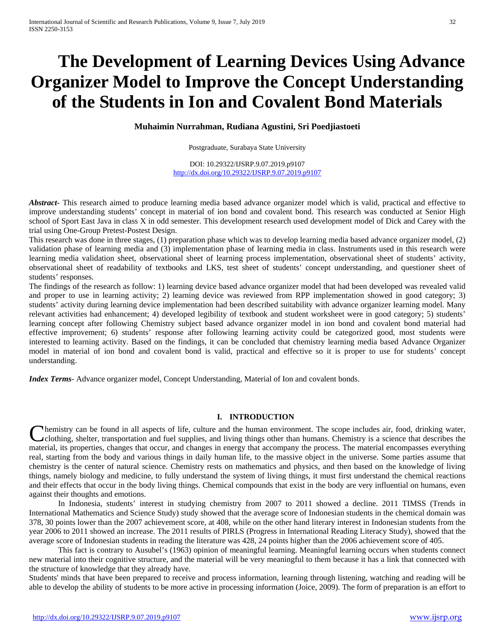# **The Development of Learning Devices Using Advance Organizer Model to Improve the Concept Understanding of the Students in Ion and Covalent Bond Materials**

**Muhaimin Nurrahman, Rudiana Agustini, Sri Poedjiastoeti**

Postgraduate, Surabaya State University

DOI: 10.29322/IJSRP.9.07.2019.p9107 <http://dx.doi.org/10.29322/IJSRP.9.07.2019.p9107>

*Abstract***-** This research aimed to produce learning media based advance organizer model which is valid, practical and effective to improve understanding students' concept in material of ion bond and covalent bond. This research was conducted at Senior High school of Sport East Java in class X in odd semester. This development research used development model of Dick and Carey with the trial using One-Group Pretest-Postest Design.

This research was done in three stages, (1) preparation phase which was to develop learning media based advance organizer model, (2) validation phase of learning media and (3) implementation phase of learning media in class. Instruments used in this research were learning media validation sheet, observational sheet of learning process implementation, observational sheet of students' activity, observational sheet of readability of textbooks and LKS, test sheet of students' concept understanding, and questioner sheet of students' responses.

The findings of the research as follow: 1) learning device based advance organizer model that had been developed was revealed valid and proper to use in learning activity; 2) learning device was reviewed from RPP implementation showed in good category; 3) students' activity during learning device implementation had been described suitability with advance organizer learning model. Many relevant activities had enhancement; 4) developed legibility of textbook and student worksheet were in good category; 5) students' learning concept after following Chemistry subject based advance organizer model in ion bond and covalent bond material had effective improvement; 6) students' response after following learning activity could be categorized good, most students were interested to learning activity. Based on the findings, it can be concluded that chemistry learning media based Advance Organizer model in material of ion bond and covalent bond is valid, practical and effective so it is proper to use for students' concept understanding.

*Index Terms*- Advance organizer model, Concept Understanding, Material of Ion and covalent bonds.

#### **I. INTRODUCTION**

hemistry can be found in all aspects of life, culture and the human environment. The scope includes air, food, drinking water, clothing, shelter, transportation and fuel supplies, and living things other than humans. Chemistry is a science that describes the **Changes 1** Chemistry can be found in all aspects of life, culture and the human environment. The scope includes air, food, drinking water, clothing, shelter, transportation and fuel supplies, and living things other than real, starting from the body and various things in daily human life, to the massive object in the universe. Some parties assume that chemistry is the center of natural science. Chemistry rests on mathematics and physics, and then based on the knowledge of living things, namely biology and medicine, to fully understand the system of living things, it must first understand the chemical reactions and their effects that occur in the body living things. Chemical compounds that exist in the body are very influential on humans, even against their thoughts and emotions.

In Indonesia, students' interest in studying chemistry from 2007 to 2011 showed a decline. 2011 TIMSS (Trends in International Mathematics and Science Study) study showed that the average score of Indonesian students in the chemical domain was 378, 30 points lower than the 2007 achievement score, at 408, while on the other hand literary interest in Indonesian students from the year 2006 to 2011 showed an increase. The 2011 results of PIRLS (Progress in International Reading Literacy Study), showed that the average score of Indonesian students in reading the literature was 428, 24 points higher than the 2006 achievement score of 405.

This fact is contrary to Ausubel's (1963) opinion of meaningful learning. Meaningful learning occurs when students connect new material into their cognitive structure, and the material will be very meaningful to them because it has a link that connected with the structure of knowledge that they already have.

Students' minds that have been prepared to receive and process information, learning through listening, watching and reading will be able to develop the ability of students to be more active in processing information (Joice, 2009). The form of preparation is an effort to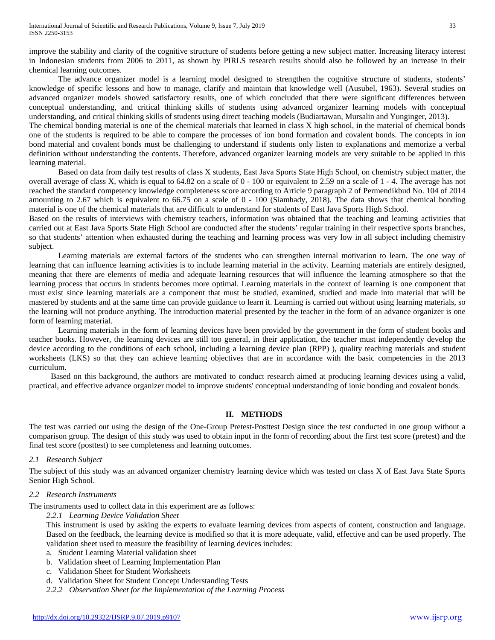improve the stability and clarity of the cognitive structure of students before getting a new subject matter. Increasing literacy interest in Indonesian students from 2006 to 2011, as shown by PIRLS research results should also be followed by an increase in their chemical learning outcomes.

The advance organizer model is a learning model designed to strengthen the cognitive structure of students, students' knowledge of specific lessons and how to manage, clarify and maintain that knowledge well (Ausubel, 1963). Several studies on advanced organizer models showed satisfactory results, one of which concluded that there were significant differences between conceptual understanding, and critical thinking skills of students using advanced organizer learning models with conceptual understanding, and critical thinking skills of students using direct teaching models (Budiartawan, Mursalin and Yunginger, 2013).

The chemical bonding material is one of the chemical materials that learned in class X high school, in the material of chemical bonds one of the students is required to be able to compare the processes of ion bond formation and covalent bonds. The concepts in ion bond material and covalent bonds must be challenging to understand if students only listen to explanations and memorize a verbal definition without understanding the contents. Therefore, advanced organizer learning models are very suitable to be applied in this learning material.

Based on data from daily test results of class X students, East Java Sports State High School, on chemistry subject matter, the overall average of class X, which is equal to 64.82 on a scale of 0 - 100 or equivalent to 2.59 on a scale of 1 - 4. The average has not reached the standard competency knowledge completeness score according to Article 9 paragraph 2 of Permendikbud No. 104 of 2014 amounting to 2.67 which is equivalent to 66.75 on a scale of 0 - 100 (Siamhady, 2018). The data shows that chemical bonding material is one of the chemical materials that are difficult to understand for students of East Java Sports High School.

Based on the results of interviews with chemistry teachers, information was obtained that the teaching and learning activities that carried out at East Java Sports State High School are conducted after the students' regular training in their respective sports branches, so that students' attention when exhausted during the teaching and learning process was very low in all subject including chemistry subject.

Learning materials are external factors of the students who can strengthen internal motivation to learn. The one way of learning that can influence learning activities is to include learning material in the activity. Learning materials are entirely designed, meaning that there are elements of media and adequate learning resources that will influence the learning atmosphere so that the learning process that occurs in students becomes more optimal. Learning materials in the context of learning is one component that must exist since learning materials are a component that must be studied, examined, studied and made into material that will be mastered by students and at the same time can provide guidance to learn it. Learning is carried out without using learning materials, so the learning will not produce anything. The introduction material presented by the teacher in the form of an advance organizer is one form of learning material.

Learning materials in the form of learning devices have been provided by the government in the form of student books and teacher books. However, the learning devices are still too general, in their application, the teacher must independently develop the device according to the conditions of each school, including a learning device plan (RPP) ), quality teaching materials and student worksheets (LKS) so that they can achieve learning objectives that are in accordance with the basic competencies in the 2013 curriculum.

Based on this background, the authors are motivated to conduct research aimed at producing learning devices using a valid, practical, and effective advance organizer model to improve students' conceptual understanding of ionic bonding and covalent bonds.

# **II. METHODS**

The test was carried out using the design of the One-Group Pretest-Posttest Design since the test conducted in one group without a comparison group. The design of this study was used to obtain input in the form of recording about the first test score (pretest) and the final test score (posttest) to see completeness and learning outcomes.

# *2.1 Research Subject*

The subject of this study was an advanced organizer chemistry learning device which was tested on class X of East Java State Sports Senior High School.

#### *2.2 Research Instruments*

The instruments used to collect data in this experiment are as follows:

*2.2.1 Learning Device Validation Sheet*

This instrument is used by asking the experts to evaluate learning devices from aspects of content, construction and language. Based on the feedback, the learning device is modified so that it is more adequate, valid, effective and can be used properly. The validation sheet used to measure the feasibility of learning devices includes:

- a. Student Learning Material validation sheet
- b. Validation sheet of Learning Implementation Plan
- c. Validation Sheet for Student Worksheets
- d. Validation Sheet for Student Concept Understanding Tests
- *2.2.2 Observation Sheet for the Implementation of the Learning Process*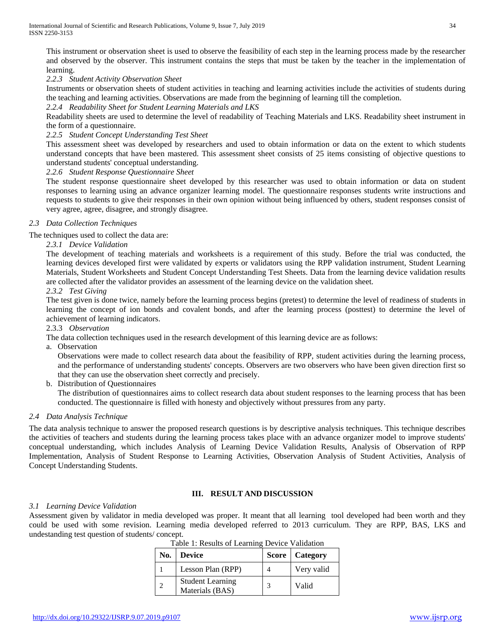This instrument or observation sheet is used to observe the feasibility of each step in the learning process made by the researcher and observed by the observer. This instrument contains the steps that must be taken by the teacher in the implementation of learning.

*2.2.3 Student Activity Observation Sheet*

Instruments or observation sheets of student activities in teaching and learning activities include the activities of students during the teaching and learning activities. Observations are made from the beginning of learning till the completion.

# *2.2.4 Readability Sheet for Student Learning Materials and LKS*

Readability sheets are used to determine the level of readability of Teaching Materials and LKS. Readability sheet instrument in the form of a questionnaire.

# *2.2.5 Student Concept Understanding Test Sheet*

This assessment sheet was developed by researchers and used to obtain information or data on the extent to which students understand concepts that have been mastered. This assessment sheet consists of 25 items consisting of objective questions to understand students' conceptual understanding.

*2.2.6 Student Response Questionnaire Sheet*

The student response questionnaire sheet developed by this researcher was used to obtain information or data on student responses to learning using an advance organizer learning model. The questionnaire responses students write instructions and requests to students to give their responses in their own opinion without being influenced by others, student responses consist of very agree, agree, disagree, and strongly disagree.

# *2.3 Data Collection Techniques*

The techniques used to collect the data are:

# *2.3.1 Device Validation*

The development of teaching materials and worksheets is a requirement of this study. Before the trial was conducted, the learning devices developed first were validated by experts or validators using the RPP validation instrument, Student Learning Materials, Student Worksheets and Student Concept Understanding Test Sheets. Data from the learning device validation results are collected after the validator provides an assessment of the learning device on the validation sheet.

# *2.3.2 Test Giving*

The test given is done twice, namely before the learning process begins (pretest) to determine the level of readiness of students in learning the concept of ion bonds and covalent bonds, and after the learning process (posttest) to determine the level of achievement of learning indicators.

#### 2.3.3 *Observation*

The data collection techniques used in the research development of this learning device are as follows:

a. Observation

Observations were made to collect research data about the feasibility of RPP, student activities during the learning process, and the performance of understanding students' concepts. Observers are two observers who have been given direction first so that they can use the observation sheet correctly and precisely.

b. Distribution of Questionnaires

The distribution of questionnaires aims to collect research data about student responses to the learning process that has been conducted. The questionnaire is filled with honesty and objectively without pressures from any party.

### *2.4 Data Analysis Technique*

The data analysis technique to answer the proposed research questions is by descriptive analysis techniques. This technique describes the activities of teachers and students during the learning process takes place with an advance organizer model to improve students' conceptual understanding, which includes Analysis of Learning Device Validation Results, Analysis of Observation of RPP Implementation, Analysis of Student Response to Learning Activities, Observation Analysis of Student Activities, Analysis of Concept Understanding Students.

# **III. RESULT AND DISCUSSION**

#### *3.1 Learning Device Validation*

Assessment given by validator in media developed was proper. It meant that all learning tool developed had been worth and they could be used with some revision. Learning media developed referred to 2013 curriculum. They are RPP, BAS, LKS and undestanding test question of students/ concept.

| No. | <b>Device</b>                              | <b>Score</b>   Category |
|-----|--------------------------------------------|-------------------------|
|     | Lesson Plan (RPP)                          | Very valid              |
|     | <b>Student Learning</b><br>Materials (BAS) | Valid                   |

Table 1: Results of Learning Device Validation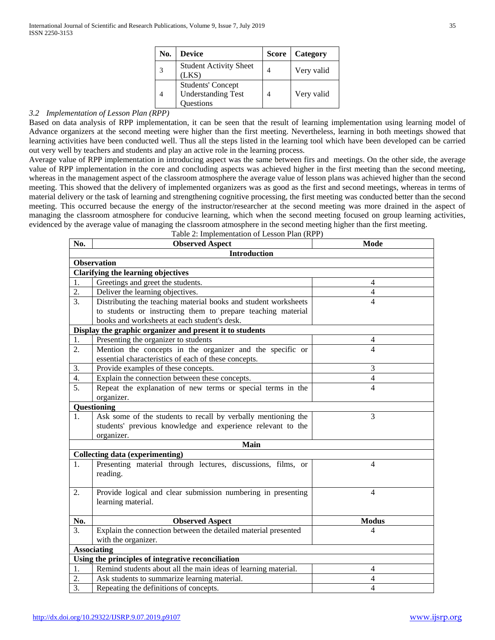| No. | <b>Device</b>                                                      | <b>Score</b> | Category   |
|-----|--------------------------------------------------------------------|--------------|------------|
| 2   | <b>Student Activity Sheet</b><br>(LKS)                             |              | Very valid |
|     | <b>Students' Concept</b><br><b>Understanding Test</b><br>Questions |              | Very valid |

# *3.2 Implementation of Lesson Plan (RPP)*

Based on data analysis of RPP implementation, it can be seen that the result of learning implementation using learning model of Advance organizers at the second meeting were higher than the first meeting. Nevertheless, learning in both meetings showed that learning activities have been conducted well. Thus all the steps listed in the learning tool which have been developed can be carried out very well by teachers and students and play an active role in the learning process.

Average value of RPP implementation in introducing aspect was the same between firs and meetings. On the other side, the average value of RPP implementation in the core and concluding aspects was achieved higher in the first meeting than the second meeting, whereas in the management aspect of the classroom atmosphere the average value of lesson plans was achieved higher than the second meeting. This showed that the delivery of implemented organizers was as good as the first and second meetings, whereas in terms of material delivery or the task of learning and strengthening cognitive processing, the first meeting was conducted better than the second meeting. This occurred because the energy of the instructor/researcher at the second meeting was more drained in the aspect of managing the classroom atmosphere for conducive learning, which when the second meeting focused on group learning activities, evidenced by the average value of managing the classroom atmosphere in the second meeting higher than the first meeting.

| Table 2: Implementation of Lesson Plan (RPP) |                                                                 |                |  |  |
|----------------------------------------------|-----------------------------------------------------------------|----------------|--|--|
| No.                                          | <b>Observed Aspect</b>                                          | <b>Mode</b>    |  |  |
|                                              | <b>Introduction</b>                                             |                |  |  |
|                                              | <b>Observation</b>                                              |                |  |  |
|                                              | <b>Clarifying the learning objectives</b>                       |                |  |  |
| 1.                                           | Greetings and greet the students.                               | $\overline{4}$ |  |  |
| 2.                                           | Deliver the learning objectives.                                | $\overline{4}$ |  |  |
| 3.                                           | Distributing the teaching material books and student worksheets | $\overline{4}$ |  |  |
|                                              | to students or instructing them to prepare teaching material    |                |  |  |
|                                              | books and worksheets at each student's desk.                    |                |  |  |
|                                              | Display the graphic organizer and present it to students        |                |  |  |
| 1.                                           | Presenting the organizer to students                            | $\overline{4}$ |  |  |
| 2.                                           | Mention the concepts in the organizer and the specific or       | $\overline{4}$ |  |  |
|                                              | essential characteristics of each of these concepts.            |                |  |  |
| 3.                                           | Provide examples of these concepts.                             | 3              |  |  |
| 4.                                           | Explain the connection between these concepts.                  | $\overline{4}$ |  |  |
| $\overline{5}$ .                             | Repeat the explanation of new terms or special terms in the     | $\overline{4}$ |  |  |
|                                              | organizer.                                                      |                |  |  |
|                                              | Questioning                                                     |                |  |  |
| 1.                                           | Ask some of the students to recall by verbally mentioning the   | 3              |  |  |
|                                              | students' previous knowledge and experience relevant to the     |                |  |  |
|                                              | organizer.                                                      |                |  |  |
|                                              | <b>Main</b>                                                     |                |  |  |
|                                              | <b>Collecting data (experimenting)</b>                          |                |  |  |
| 1.                                           | Presenting material through lectures, discussions, films, or    | $\overline{4}$ |  |  |
|                                              | reading.                                                        |                |  |  |
|                                              |                                                                 |                |  |  |
| 2.                                           | Provide logical and clear submission numbering in presenting    | $\overline{4}$ |  |  |
|                                              | learning material.                                              |                |  |  |
|                                              |                                                                 |                |  |  |
| No.                                          | <b>Observed Aspect</b>                                          | <b>Modus</b>   |  |  |
| $\overline{3}$ .                             | Explain the connection between the detailed material presented  | $\overline{4}$ |  |  |
|                                              | with the organizer.                                             |                |  |  |
|                                              | <b>Associating</b>                                              |                |  |  |
|                                              | Using the principles of integrative reconciliation              |                |  |  |
| 1.                                           | Remind students about all the main ideas of learning material.  | $\overline{4}$ |  |  |
| 2.                                           | Ask students to summarize learning material.                    | $\overline{4}$ |  |  |
| $\overline{3}$ .                             | Repeating the definitions of concepts.                          | $\overline{4}$ |  |  |

<http://dx.doi.org/10.29322/IJSRP.9.07.2019.p9107> [www.ijsrp.org](http://ijsrp.org/)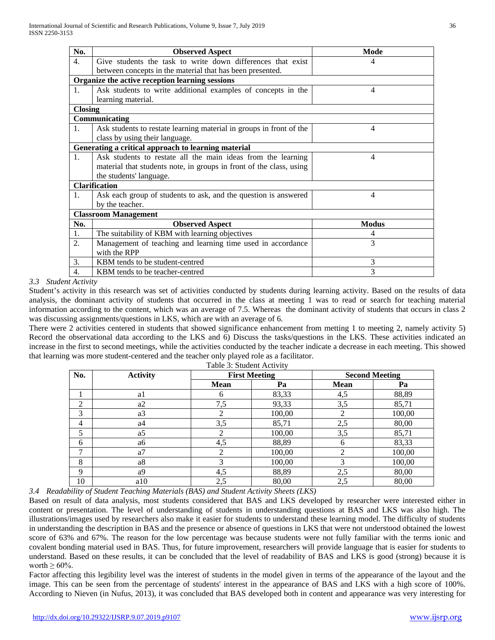| No.              | <b>Observed Aspect</b>                                              | Mode           |
|------------------|---------------------------------------------------------------------|----------------|
| $\overline{4}$ . | Give students the task to write down differences that exist         | 4              |
|                  | between concepts in the material that has been presented.           |                |
|                  | Organize the active reception learning sessions                     |                |
| 1.               | Ask students to write additional examples of concepts in the        | 4              |
|                  | learning material.                                                  |                |
| <b>Closing</b>   |                                                                     |                |
|                  | Communicating                                                       |                |
| 1.               | Ask students to restate learning material in groups in front of the | 4              |
|                  | class by using their language.                                      |                |
|                  | Generating a critical approach to learning material                 |                |
| 1 <sub>1</sub>   | Ask students to restate all the main ideas from the learning        | 4              |
|                  | material that students note, in groups in front of the class, using |                |
|                  | the students' language.                                             |                |
|                  | <b>Clarification</b>                                                |                |
| 1.               | Ask each group of students to ask, and the question is answered     | $\overline{4}$ |
|                  | by the teacher.                                                     |                |
|                  | <b>Classroom Management</b>                                         |                |
| No.              | <b>Observed Aspect</b>                                              | <b>Modus</b>   |
| 1.               | The suitability of KBM with learning objectives                     | 4              |
| $\overline{2}$ . | Management of teaching and learning time used in accordance         | 3              |
|                  | with the RPP                                                        |                |
| 3.               | KBM tends to be student-centred                                     | 3              |
| 4.               | KBM tends to be teacher-centred                                     | 3              |

# *3.3 Student Activity*

Student's activity in this research was set of activities conducted by students during learning activity. Based on the results of data analysis, the dominant activity of students that occurred in the class at meeting 1 was to read or search for teaching material information according to the content, which was an average of 7.5. Whereas the dominant activity of students that occurs in class 2 was discussing assignments/questions in LKS, which are with an average of 6.

There were 2 activities centered in students that showed significance enhancement from metting 1 to meeting 2, namely activity 5) Record the observational data according to the LKS and 6) Discuss the tasks/questions in the LKS. These activities indicated an increase in the first to second meetings, while the activities conducted by the teacher indicate a decrease in each meeting. This showed that learning was more student-centered and the teacher only played role as a facilitator.

| No.            | <b>Activity</b> | <b>First Meeting</b> |        | <b>Second Meeting</b> |        |
|----------------|-----------------|----------------------|--------|-----------------------|--------|
|                |                 | <b>Mean</b>          | Pa     | <b>Mean</b>           | Pa     |
|                | a1              | 6                    | 83,33  | 4,5                   | 88,89  |
| $\overline{2}$ | a <sub>2</sub>  | 7,5                  | 93,33  | 3,5                   | 85,71  |
| 3              | a3              | ↑                    | 100,00 | 2                     | 100,00 |
| 4              | a4              | 3,5                  | 85,71  | 2,5                   | 80,00  |
| 5              | a5              |                      | 100,00 | 3,5                   | 85,71  |
| 6              | аб              | 4,5                  | 88,89  | 6                     | 83,33  |
| $\mathcal{I}$  | a <sub>7</sub>  |                      | 100,00 | っ                     | 100,00 |
| 8              | a8              | 3                    | 100,00 | 3                     | 100,00 |
| 9              | a <sup>9</sup>  | 4,5                  | 88,89  | 2,5                   | 80,00  |
| 10             | a10             | 2,5                  | 80,00  | 2,5                   | 80,00  |

Table 3: Student Activity

*3.4 Readability of Student Teaching Materials (BAS) and Student Activity Sheets (LKS)*

Based on result of data analysis, most students considered that BAS and LKS developed by researcher were interested either in content or presentation. The level of understanding of students in understanding questions at BAS and LKS was also high. The illustrations/images used by researchers also make it easier for students to understand these learning model. The difficulty of students in understanding the description in BAS and the presence or absence of questions in LKS that were not understood obtained the lowest score of 63% and 67%. The reason for the low percentage was because students were not fully familiar with the terms ionic and covalent bonding material used in BAS. Thus, for future improvement, researchers will provide language that is easier for students to understand. Based on these results, it can be concluded that the level of readability of BAS and LKS is good (strong) because it is worth  $\geq 60\%$ .

Factor affecting this legibility level was the interest of students in the model given in terms of the appearance of the layout and the image. This can be seen from the percentage of students' interest in the appearance of BAS and LKS with a high score of 100%. According to Nieven (in Nufus, 2013), it was concluded that BAS developed both in content and appearance was very interesting for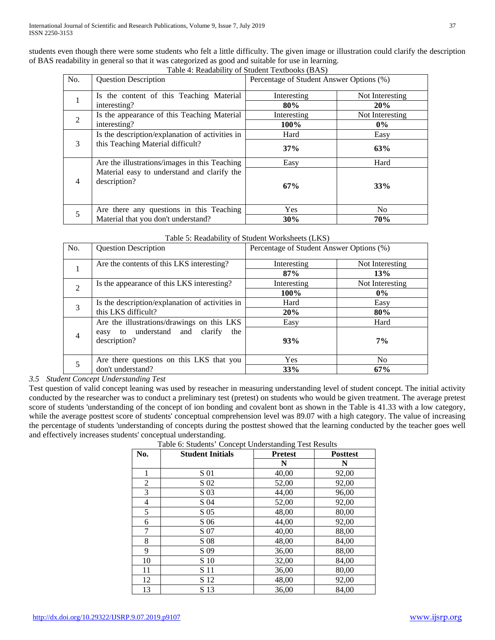students even though there were some students who felt a little difficulty. The given image or illustration could clarify the description of BAS readability in general so that it was categorized as good and suitable for use in learning. Table 4: Readability of Student Textbooks (BAS)

|                | Lavie 4. Readability of Student Textbooks (DAS)             |                                          |                 |  |
|----------------|-------------------------------------------------------------|------------------------------------------|-----------------|--|
| No.            | <b>Question Description</b>                                 | Percentage of Student Answer Options (%) |                 |  |
| $\mathbf{1}$   | Is the content of this Teaching Material                    | Interesting                              | Not Interesting |  |
|                | interesting?                                                | 80%                                      | 20%             |  |
| $\overline{2}$ | Is the appearance of this Teaching Material                 | Interesting                              | Not Interesting |  |
|                | interesting?                                                | 100%                                     | $0\%$           |  |
|                | Is the description/explanation of activities in             | Hard                                     | Easy            |  |
| 3              | this Teaching Material difficult?                           | 37%                                      | 63%             |  |
|                | Are the illustrations/images in this Teaching               | Easy                                     | Hard            |  |
| $\overline{4}$ | Material easy to understand and clarify the<br>description? | 67%                                      | 33%             |  |
| 5              | Are there any questions in this Teaching                    | Yes                                      | N <sub>o</sub>  |  |
|                | Material that you don't understand?                         | 30%                                      | 70%             |  |

| Table 5: Readability of Student Worksheets (LKS) |  |  |
|--------------------------------------------------|--|--|
|--------------------------------------------------|--|--|

| No.            | <b>Question Description</b>                              | Percentage of Student Answer Options (%) |                 |
|----------------|----------------------------------------------------------|------------------------------------------|-----------------|
|                | Are the contents of this LKS interesting?                | Interesting                              | Not Interesting |
|                |                                                          | 87%                                      | 13%             |
| $\overline{2}$ | Is the appearance of this LKS interesting?               | Interesting                              | Not Interesting |
|                |                                                          | 100%                                     | $0\%$           |
| 3              | Is the description/explanation of activities in          | Hard                                     | Easy            |
|                | this LKS difficult?                                      | 20%                                      | 80%             |
|                | Are the illustrations/drawings on this LKS               | Easy                                     | Hard            |
| $\overline{4}$ | easy to understand and<br>clarify<br>the<br>description? | 93%                                      | $7\%$           |
|                | Are there questions on this LKS that you                 | <b>Yes</b>                               | No              |
|                | don't understand?                                        | 33%                                      | 67%             |

*3.5 Student Concept Understanding Test*

Test question of valid concept leaning was used by reseacher in measuring understanding level of student concept. The initial activity conducted by the researcher was to conduct a preliminary test (pretest) on students who would be given treatment. The average pretest score of students 'understanding of the concept of ion bonding and covalent bont as shown in the Table is 41.33 with a low category, while the average posttest score of students' conceptual comprehension level was 89.07 with a high category. The value of increasing the percentage of students 'understanding of concepts during the posttest showed that the learning conducted by the teacher goes well and effectively increases students' conceptual understanding.

| No. | <b>Student Initials</b> | <b>Pretest</b> | <b>Posttest</b> |
|-----|-------------------------|----------------|-----------------|
|     |                         | N              | N               |
|     | S 01                    | 40,00          | 92,00           |
| 2   | S 02                    | 52,00          | 92,00           |
| 3   | S 03                    | 44,00          | 96,00           |
| 4   | S 04                    | 52,00          | 92,00           |
| 5   | S 05                    | 48,00          | 80,00           |
| 6   | S 06                    | 44,00          | 92,00           |
| 7   | S 07                    | 40.00          | 88,00           |
| 8   | S 08                    | 48,00          | 84,00           |
| 9   | S 09                    | 36,00          | 88,00           |
| 10  | S 10                    | 32,00          | 84,00           |
| 11  | S 11                    | 36,00          | 80,00           |
| 12  | S 12                    | 48,00          | 92,00           |
| 13  | S 13                    | 36,00          | 84,00           |

Table 6: Students' Concept Understanding Test Results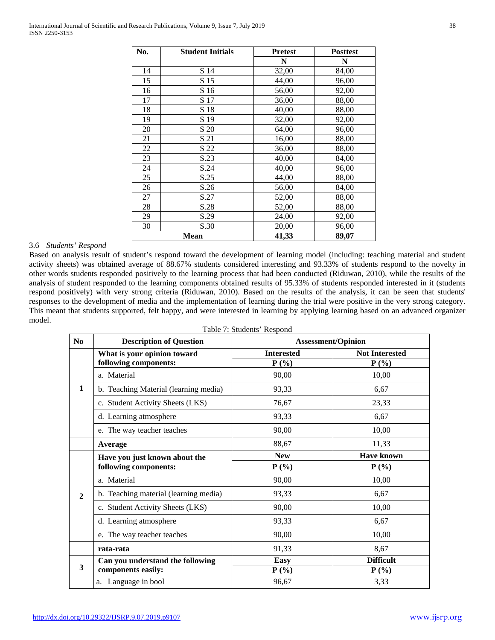| No. | <b>Student Initials</b> | <b>Pretest</b> | <b>Posttest</b> |
|-----|-------------------------|----------------|-----------------|
|     |                         | N              | N               |
| 14  | S 14                    | 32,00          | 84,00           |
| 15  | S 15                    | 44,00          | 96,00           |
| 16  | S 16                    | 56,00          | 92,00           |
| 17  | S 17                    | 36,00          | 88,00           |
| 18  | S 18                    | 40,00          | 88,00           |
| 19  | S 19                    | 32,00          | 92,00           |
| 20  | S 20                    | 64,00          | 96,00           |
| 21  | S 21                    | 16,00          | 88,00           |
| 22  | S 22                    | 36,00          | 88,00           |
| 23  | S.23                    | 40,00          | 84,00           |
| 24  | S.24                    | 40,00          | 96,00           |
| 25  | S.25                    | 44,00          | 88,00           |
| 26  | S.26                    | 56,00          | 84,00           |
| 27  | S.27                    | 52,00          | 88,00           |
| 28  | S.28                    | 52,00          | 88,00           |
| 29  | S.29                    | 24,00          | 92,00           |
| 30  | S.30                    | 20,00          | 96,00           |
|     | Mean                    | 41,33          | 89,07           |

# 3.6 *Students' Respond*

Based on analysis result of student's respond toward the development of learning model (including: teaching material and student activity sheets) was obtained average of 88.67% students considered interesting and 93.33% of students respond to the novelty in other words students responded positively to the learning process that had been conducted (Riduwan, 2010), while the results of the analysis of student responded to the learning components obtained results of 95.33% of students responded interested in it (students respond positively) with very strong criteria (Riduwan, 2010). Based on the results of the analysis, it can be seen that students' responses to the development of media and the implementation of learning during the trial were positive in the very strong category. This meant that students supported, felt happy, and were interested in learning by applying learning based on an advanced organizer model.

| Table 7: Students' Respond |  |
|----------------------------|--|
|----------------------------|--|

| $\bf N_0$    | <b>Description of Question</b>                         | <b>Assessment/Opinion</b>    |                                  |
|--------------|--------------------------------------------------------|------------------------------|----------------------------------|
|              | What is your opinion toward<br>following components:   | <b>Interested</b><br>$P(\%)$ | <b>Not Interested</b><br>$P(\%)$ |
|              | a. Material                                            | 90,00                        | 10,00                            |
| 1            | b. Teaching Material (learning media)                  | 93,33                        | 6,67                             |
|              | c. Student Activity Sheets (LKS)                       | 76,67                        | 23,33                            |
|              | d. Learning atmosphere                                 | 93,33                        | 6,67                             |
|              | e. The way teacher teaches                             | 90,00                        | 10,00                            |
|              | Average                                                | 88,67                        | 11,33                            |
| $\mathbf{2}$ | Have you just known about the                          | <b>New</b>                   | <b>Have known</b>                |
|              | following components:                                  | $P(\%)$                      | $P(\%)$                          |
|              | a. Material                                            | 90,00                        | 10,00                            |
|              | b. Teaching material (learning media)                  | 93,33                        | 6,67                             |
|              | c. Student Activity Sheets (LKS)                       | 90,00                        | 10,00                            |
|              | d. Learning atmosphere                                 | 93,33                        | 6,67                             |
|              | e. The way teacher teaches                             | 90,00                        | 10,00                            |
|              | rata-rata                                              | 91,33                        | 8,67                             |
| 3            | Can you understand the following<br>components easily: | <b>Easy</b><br>$P(\%)$       | <b>Difficult</b><br>$P(\%)$      |
|              | a. Language in bool                                    | 96,67                        | 3,33                             |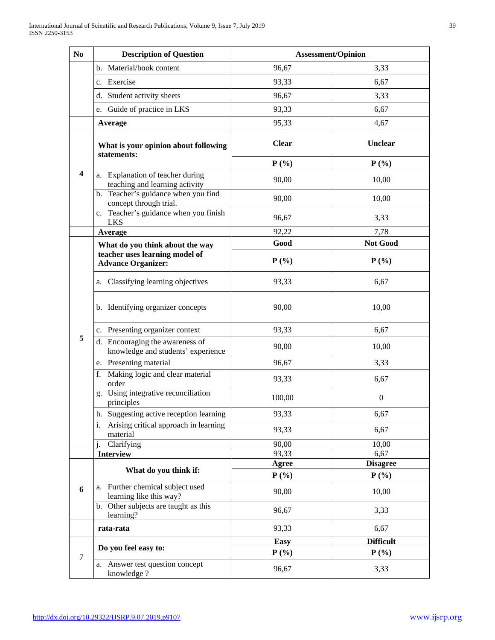| N <sub>0</sub> | <b>Description of Question</b>                                        | <b>Assessment/Opinion</b> |                            |
|----------------|-----------------------------------------------------------------------|---------------------------|----------------------------|
|                | b. Material/book content                                              | 96,67                     | 3,33                       |
|                | c. Exercise                                                           | 93,33                     | 6,67                       |
|                | d. Student activity sheets                                            | 96,67                     | 3,33                       |
|                | e. Guide of practice in LKS                                           | 93,33                     | 6,67                       |
|                | Average                                                               | 95,33                     | 4,67                       |
| 4              |                                                                       |                           |                            |
|                | What is your opinion about following                                  | <b>Clear</b>              | Unclear                    |
|                | statements:                                                           | $P(\% )$                  | $P(\% )$                   |
|                | a. Explanation of teacher during<br>teaching and learning activity    | 90,00                     | 10,00                      |
|                | b. Teacher's guidance when you find<br>concept through trial.         | 90,00                     | 10,00                      |
|                | c. Teacher's guidance when you finish<br><b>LKS</b>                   | 96,67                     | 3,33                       |
|                | Average                                                               | 92,22                     | 7,78                       |
| 5              | What do you think about the way                                       | Good                      | <b>Not Good</b>            |
|                | teacher uses learning model of<br><b>Advance Organizer:</b>           | $P(\%)$                   | $P(\%)$                    |
|                | a. Classifying learning objectives                                    | 93,33                     | 6,67                       |
|                | b. Identifying organizer concepts                                     | 90,00                     | 10,00                      |
|                | c. Presenting organizer context                                       | 93,33                     | 6,67                       |
|                | d. Encouraging the awareness of<br>knowledge and students' experience | 90,00                     | 10,00                      |
|                | e. Presenting material                                                | 96,67                     | 3,33                       |
|                | f. Making logic and clear material<br>order                           | 93,33                     | 6,67                       |
|                | g. Using integrative reconciliation<br>principles                     | 100,00                    | $\boldsymbol{0}$           |
|                | h. Suggesting active reception learning                               | 93,33                     | 6,67                       |
|                | Arising critical approach in learning<br>i.<br>material               | 93,33                     | 6,67                       |
|                | Clarifying                                                            | 90,00                     | 10,00                      |
|                | <b>Interview</b>                                                      | 93,33                     | 6,67                       |
| 6              | What do you think if:                                                 | <b>Agree</b><br>$P(\%)$   | <b>Disagree</b><br>$P(\%)$ |
|                | a. Further chemical subject used<br>learning like this way?           | 90,00                     | 10,00                      |
|                | b. Other subjects are taught as this<br>learning?                     | 96,67                     | 3,33                       |
|                | rata-rata                                                             | 93,33                     | 6,67                       |
| $\tau$         | Do you feel easy to:                                                  | <b>Easy</b>               | <b>Difficult</b>           |
|                |                                                                       | $P(\% )$                  | $P(\%)$                    |
|                | a. Answer test question concept<br>knowledge?                         | 96,67                     | 3,33                       |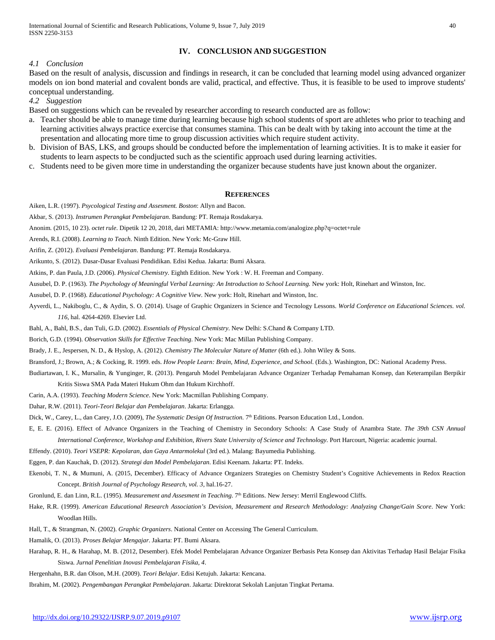# **IV. CONCLUSION AND SUGGESTION**

#### *4.1 Conclusion*

Based on the result of analysis, discussion and findings in research, it can be concluded that learning model using advanced organizer models on ion bond material and covalent bonds are valid, practical, and effective. Thus, it is feasible to be used to improve students' conceptual understanding.

*4.2 Suggestion*

Based on suggestions which can be revealed by researcher according to research conducted are as follow:

- a. Teacher should be able to manage time during learning because high school students of sport are athletes who prior to teaching and learning activities always practice exercise that consumes stamina. This can be dealt with by taking into account the time at the presentation and allocating more time to group discussion activities which require student activity.
- b. Division of BAS, LKS, and groups should be conducted before the implementation of learning activities. It is to make it easier for students to learn aspects to be condjucted such as the scientific approach used during learning activities.
- c. Students need to be given more time in understanding the organizer because students have just known about the organizer.

#### **REFERENCES**

Aiken, L.R. (1997). *Psycological Testing and Assesment. Boston*: Allyn and Bacon.

Akbar, S. (2013). *Instrumen Perangkat Pembelajaran*. Bandung: PT. Remaja Rosdakarya.

Anonim. (2015, 10 23). *octet rule*. Dipetik 12 20, 2018, dari METAMIA: http://www.metamia.com/analogize.php?q=octet+rule

Arends, R.I. (2008). *Learning to Teach*. Ninth Edition. New York: Mc-Graw Hill.

Arifin, Z. (2012). *Evaluasi Pembelajaran*. Bandung: PT. Remaja Rosdakarya.

Arikunto, S. (2012). Dasar-Dasar Evaluasi Pendidikan. Edisi Kedua. Jakarta: Bumi Aksara.

Atkins, P. dan Paula, J.D. (2006). *Physical Chemistry.* Eighth Edition. New York : W. H. Freeman and Company.

Ausubel, D. P. (1963). *The Psychology of Meaningful Verbal Learning: An Introduction to School Learning.* New york: Holt, Rinehart and Winston, Inc.

Ausubel, D. P. (1968). *Educational Psychology: A Cognitive View.* New york: Holt, Rinehart and Winston, Inc.

Ayverdi, L., Nakiboglu, C., & Aydin, S. O. (2014). Usage of Graphic Organizers in Science and Tecnology Lessons. *World Conference on Educational Sciences. vol. 116*, hal. 4264-4269. Elsevier Ltd.

Bahl, A., Bahl, B.S., dan Tuli, G.D. (2002). *Essentials of Physical Chemistry*. New Delhi: S.Chand & Company LTD.

Borich, G.D. (1994). *Observation Skills for Effective Teaching*. New York: Mac Millan Publishing Company.

Brady, J. E., Jespersen, N. D., & Hyslop, A. (2012). *Chemistry The Molecular Nature of Matter* (6th ed.). John Wiley & Sons.

Bransford, J.; Brown, A.; & Cocking, R. 1999. eds. *How People Learn: Brain, Mind, Experience, and School*. (Eds.). Washington, DC: National Academy Press.

Budiartawan, I. K., Mursalin, & Yunginger, R. (2013). Pengaruh Model Pembelajaran Advance Organizer Terhadap Pemahaman Konsep, dan Keterampilan Berpikir Kritis Siswa SMA Pada Materi Hukum Ohm dan Hukum Kirchhoff.

Carin, A.A. (1993). *Teaching Modern Science*. New York: Macmillan Publishing Company.

Dahar, R.W. (2011). *Teori-Teori Belajar dan Pembelajaran*. Jakarta: Erlangga.

Dick, W., Carey, L., dan Carey, J.O. (2009), *The Systematic Design Of Instruction*. 7<sup>th</sup> Editions. Pearson Education Ltd., London.

- E, E. E. (2016). Effect of Advance Organizers in the Teaching of Chemistry in Secondory Schools: A Case Study of Anambra State. *The 39th CSN Annual International Conference, Workshop and Exhibition, Rivers State University of Science and Technology.* Port Harcourt, Nigeria: academic journal.
- Effendy. (2010). *Teori VSEPR: Kepolaran, dan Gaya Antarmolekul* (3rd ed.). Malang: Bayumedia Publishing.

Eggen, P. dan Kauchak, D. (2012). *Strategi dan Model Pembelajaran*. Edisi Keenam. Jakarta: PT. Indeks.

Ekenobi, T. N., & Mumuni, A. (2015, December). Efficacy of Advance Organizers Strategies on Chemistry Student's Cognitive Achievements in Redox Reaction Concept. *British Journal of Psychology Research, vol. 3*, hal.16-27.

Gronlund, E. dan Linn, R.L. (1995). *Measurement and Assesment in Teaching*. 7<sup>th</sup> Editions. New Jersey: Merril Englewood Cliffs.

- Hake, R.R. (1999). *American Educational Research Association's Devision, Measurement and Research Methodology: Analyzing Change/Gain Score*. New York: Woodlan Hills.
- Hall, T., & Strangman, N. (2002). *Graphic Organizers*. National Center on Accessing The General Curriculum.

Hamalik, O. (2013). *Proses Belajar Mengajar*. Jakarta: PT. Bumi Aksara.

Harahap, R. H., & Harahap, M. B. (2012, Desember). Efek Model Pembelajaran Advance Organizer Berbasis Peta Konsep dan Aktivitas Terhadap Hasil Belajar Fisika Siswa. *Jurnal Penelitian Inovasi Pembelajaran Fisika, 4*.

Hergenhahn, B.R. dan Olson, M.H. (2009). *Teori Belajar*. Edisi Ketujuh. Jakarta: Kencana.

Ibrahim, M. (2002). *Pengembangan Perangkat Pembelajaran*. Jakarta: Direktorat Sekolah Lanjutan Tingkat Pertama.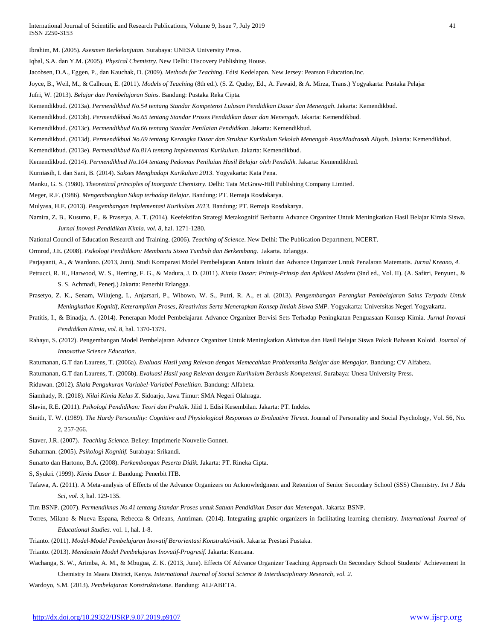Ibrahim, M. (2005). *Asesmen Berkelanjutan*. Surabaya: UNESA University Press.

Iqbal, S.A. dan Y.M. (2005). *Physical Chemistry.* New Delhi: Discovery Publishing House.

Jacobsen, D.A., Eggen, P., dan Kauchak, D. (2009). *Methods for Teaching*. Edisi Kedelapan. New Jersey: Pearson Education,Inc.

Joyce, B., Weil, M., & Calhoun, E. (2011). *Models of Teaching* (8th ed.). (S. Z. Qudsy, Ed., A. Fawaid, & A. Mirza, Trans.) Yogyakarta: Pustaka Pelajar

Jufri, W. (2013). *Belajar dan Pembelajaran Sains.* Bandung: Pustaka Reka Cipta.

Kemendikbud. (2013a). *Permendikbud No.54 tentang Standar Kompetensi Lulusan Pendidikan Dasar dan Menengah*. Jakarta: Kemendikbud.

Kemendikbud. (2013b). *Permendikbud No.65 tentang Standar Proses Pendidikan dasar dan Menengah*. Jakarta: Kemendikbud.

- Kemendikbud. (2013c). *Permendikbud No.66 tentang Standar Penilaian Pendidikan*. Jakarta: Kemendikbud.
- Kemendikbud. (2013d). *Permendikbud No.69 tentang Kerangka Dasar dan Struktur Kurikulum Sekolah Menengah Atas/Madrasah Aliyah*. Jakarta: Kemendikbud.

Kemendikbud. (2013e). *Permendikbud No.81A tentang Implementasi Kurikulum*. Jakarta: Kemendikbud.

Kemendikbud. (2014). *Permendikbud No.104 tentang Pedoman Penilaian Hasil Belajar oleh Pendidik*. Jakarta: Kemendikbud.

Kurniasih, I. dan Sani, B. (2014). *Sukses Menghadapi Kurikulum 2013*. Yogyakarta: Kata Pena.

Manku, G. S. (1980). *Theoretical principles of Inorganic Chemistry.* Delhi: Tata McGraw-Hill Publishing Company Limited.

Meger, R.F. (1986). *Mengembangkan Sikap terhadap Belajar*. Bandung: PT. Remaja Rosdakarya.

Mulyasa, H.E. (2013). *Pengembangan Implementasi Kurikulum 2013*. Bandung: PT. Remaja Rosdakarya.

Namira, Z. B., Kusumo, E., & Prasetya, A. T. (2014). Keefektifan Strategi Metakognitif Berbantu Advance Organizer Untuk Meningkatkan Hasil Belajar Kimia Siswa. *Jurnal Inovasi Pendidikan Kimia, vol. 8*, hal. 1271-1280.

National Council of Education Research and Training. (2006). *Teaching of Science*. New Delhi: The Publication Department, NCERT.

Ormrod, J.E. (2008). *Psikologi Pendidikan: Membantu Siswa Tumbuh dan Berkembang*. Jakarta. Erlangga.

Parjayanti, A., & Wardono. (2013, Juni). Studi Komparasi Model Pembelajaran Antara Inkuiri dan Advance Organizer Untuk Penalaran Matematis. *Jurnal Kreano, 4*.

- Petrucci, R. H., Harwood, W. S., Herring, F. G., & Madura, J. D. (2011). *Kimia Dasar: Prinsip-Prinsip dan Aplikasi Modern* (9nd ed., Vol. II). (A. Safitri, Penyunt., & S. S. Achmadi, Penerj.) Jakarta: Penerbit Erlangga.
- Prasetyo, Z. K., Senam, Wilujeng, I., Anjarsari, P., Wibowo, W. S., Putri, R. A., et al. (2013). *Pengembangan Perangkat Pembelajaran Sains Terpadu Untuk Meningkatkan Kognitif, Keterampilan Proses, Kreativitas Serta Menerapkan Konsep Ilmiah Siswa SMP.* Yogyakarta: Universitas Negeri Yogyakarta.
- Pratitis, I., & Binadja, A. (2014). Penerapan Model Pembelajaran Advance Organizer Bervisi Sets Terhadap Peningkatan Penguasaan Konsep Kimia. *Jurnal Inovasi Pendidikan Kimia, vol. 8*, hal. 1370-1379.
- Rahayu, S. (2012). Pengembangan Model Pembelajaran Advance Organizer Untuk Meningkatkan Aktivitas dan Hasil Belajar Siswa Pokok Bahasan Koloid. *Journal of Innovative Science Education*.
- Ratumanan, G.T dan Laurens, T. (2006a). *Evaluasi Hasil yang Relevan dengan Memecahkan Problematika Belajar dan Mengajar.* Bandung: CV Alfabeta.
- Ratumanan, G.T dan Laurens, T. (2006b). *Evaluasi Hasil yang Relevan dengan Kurikulum Berbasis Kompetensi.* Surabaya: Unesa University Press.

Riduwan. (2012). *Skala Pengukuran Variabel-Variabel Penelitian*. Bandung: Alfabeta.

Siamhady, R. (2018). *Nilai Kimia Kelas X*. Sidoarjo, Jawa Timur: SMA Negeri Olahraga.

Slavin, R.E. (2011). *Psikologi Pendidikan: Teori dan Praktik*. Jilid 1. Edisi Kesembilan. Jakarta: PT. Indeks.

Smith, T. W. (1989). *The Hardy Personality: Cognitive and Physiological Responses to Evaluative Threat*. Journal of Personality and Social Psychology, Vol. 56, No. 2, 257-266.

Staver, J.R. (2007). *Teaching Science*. Belley: Imprimerie Nouvelle Gonnet.

Suharman. (2005). *Psikologi Kognitif.* Surabaya: Srikandi.

Sunarto dan Hartono, B.A. (2008). *Perkembangan Peserta Didik*. Jakarta: PT. Rineka Cipta.

- S, Syukri. (1999). *Kimia Dasar 1.* Bandung: Penerbit ITB.
- Tafawa, A. (2011). A Meta-analysis of Effects of the Advance Organizers on Acknowledgment and Retention of Senior Secondary School (SSS) Chemistry. *Int J Edu Sci, vol. 3*, hal. 129-135.

Tim BSNP. (2007). *Permendiknas No.41 tentang Standar Proses untuk Satuan Pendidikan Dasar dan Menengah*. Jakarta: BSNP.

- Torres, Milano & Nueva Espana, Rebecca & Orleans, Antriman. (2014). Integrating graphic organizers in facilitating learning chemistry. *International Journal of Educational Studies*. vol. 1, hal. 1-8.
- Trianto. (2011). *Model-Model Pembelajaran Inovatif Berorientasi Konstruktivistik*. Jakarta: Prestasi Pustaka.
- Trianto. (2013). *Mendesain Model Pembelajaran Inovatif-Progresif*. Jakarta: Kencana.
- Wachanga, S. W., Arimba, A. M., & Mbugua, Z. K. (2013, June). Effects Of Advance Organizer Teaching Approach On Secondary School Students' Achievement In Chemistry In Maara District, Kenya. *International Journal of Social Science & Interdisciplinary Research, vol. 2*.

Wardoyo, S.M. (2013). *Pembelajaran Konstruktivisme*. Bandung: ALFABETA.